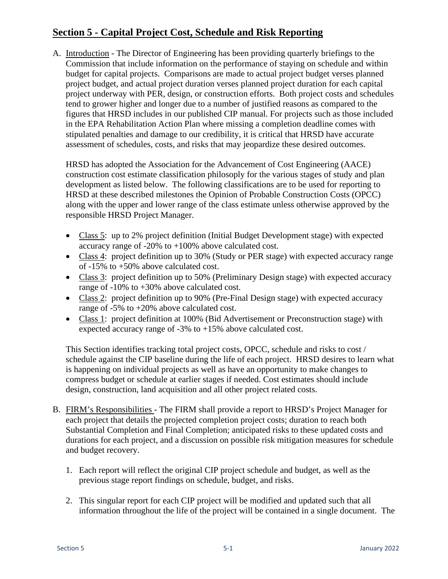## **Section 5 - Capital Project Cost, Schedule and Risk Reporting**

A. Introduction - The Director of Engineering has been providing quarterly briefings to the Commission that include information on the performance of staying on schedule and within budget for capital projects. Comparisons are made to actual project budget verses planned project budget, and actual project duration verses planned project duration for each capital project underway with PER, design, or construction efforts. Both project costs and schedules tend to grower higher and longer due to a number of justified reasons as compared to the figures that HRSD includes in our published CIP manual. For projects such as those included in the EPA Rehabilitation Action Plan where missing a completion deadline comes with stipulated penalties and damage to our credibility, it is critical that HRSD have accurate assessment of schedules, costs, and risks that may jeopardize these desired outcomes.

HRSD has adopted the Association for the Advancement of Cost Engineering (AACE) construction cost estimate classification philosoply for the various stages of study and plan development as listed below. The following classifications are to be used for reporting to HRSD at these described milestones the Opinion of Probable Construction Costs (OPCC) along with the upper and lower range of the class estimate unless otherwise approved by the responsible HRSD Project Manager.

- Class 5: up to 2% project definition (Initial Budget Development stage) with expected accuracy range of -20% to +100% above calculated cost.
- Class 4: project definition up to 30% (Study or PER stage) with expected accuracy range of -15% to +50% above calculated cost.
- Class 3: project definition up to 50% (Preliminary Design stage) with expected accuracy range of -10% to +30% above calculated cost.
- Class 2: project definition up to 90% (Pre-Final Design stage) with expected accuracy range of -5% to +20% above calculated cost.
- Class 1: project definition at 100% (Bid Advertisement or Preconstruction stage) with expected accuracy range of -3% to +15% above calculated cost.

This Section identifies tracking total project costs, OPCC, schedule and risks to cost / schedule against the CIP baseline during the life of each project. HRSD desires to learn what is happening on individual projects as well as have an opportunity to make changes to compress budget or schedule at earlier stages if needed. Cost estimates should include design, construction, land acquisition and all other project related costs.

- B. FIRM's Responsibilities The FIRM shall provide a report to HRSD's Project Manager for each project that details the projected completion project costs; duration to reach both Substantial Completion and Final Completion; anticipated risks to these updated costs and durations for each project, and a discussion on possible risk mitigation measures for schedule and budget recovery.
	- 1. Each report will reflect the original CIP project schedule and budget, as well as the previous stage report findings on schedule, budget, and risks.
	- 2. This singular report for each CIP project will be modified and updated such that all information throughout the life of the project will be contained in a single document. The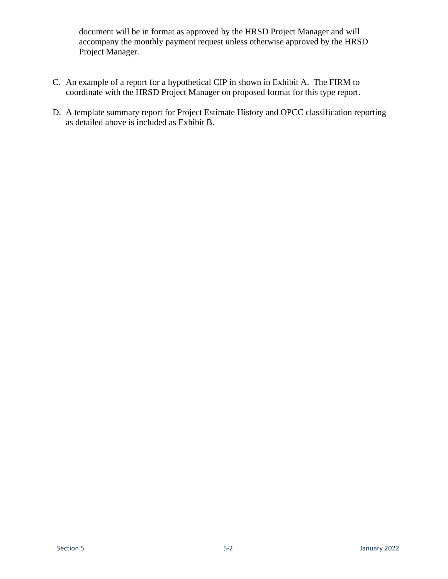document will be in format as approved by the HRSD Project Manager and will accompany the monthly payment request unless otherwise approved by the HRSD Project Manager.

- C. An example of a report for a hypothetical CIP in shown in Exhibit A. The FIRM to coordinate with the HRSD Project Manager on proposed format for this type report.
- D. A template summary report for Project Estimate History and OPCC classification reporting as detailed above is included as Exhibit B.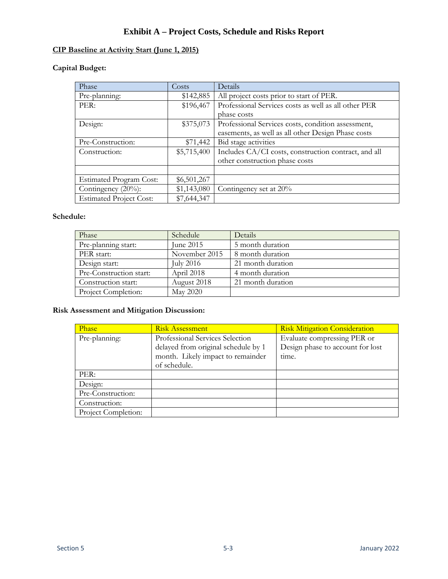## **Exhibit A – Project Costs, Schedule and Risks Report**

### **CIP Baseline at Activity Start (June 1, 2015)**

#### **Capital Budget:**

| Phase                          | Costs       | Details                                              |
|--------------------------------|-------------|------------------------------------------------------|
| Pre-planning:                  | \$142,885   | All project costs prior to start of PER.             |
| PER:                           | \$196,467   | Professional Services costs as well as all other PER |
|                                |             | phase costs                                          |
| Design:                        | \$375,073   | Professional Services costs, condition assessment,   |
|                                |             | easements, as well as all other Design Phase costs   |
| Pre-Construction:              | \$71,442    | Bid stage activities                                 |
| Construction:                  | \$5,715,400 | Includes CA/CI costs, construction contract, and all |
|                                |             | other construction phase costs                       |
|                                |             |                                                      |
| <b>Estimated Program Cost:</b> | \$6,501,267 |                                                      |
| Contingency $(20\%)$ :         | \$1,143,080 | Contingency set at 20%                               |
| <b>Estimated Project Cost:</b> | \$7,644,347 |                                                      |

#### **Schedule:**

| Phase                   | Schedule        | <b>Details</b>    |
|-------------------------|-----------------|-------------------|
| Pre-planning start:     | June 2015       | 5 month duration  |
| PER start:              | November 2015   | 8 month duration  |
| Design start:           | July 2016       | 21 month duration |
| Pre-Construction start: | April 2018      | 4 month duration  |
| Construction start:     | August 2018     | 21 month duration |
| Project Completion:     | <b>May 2020</b> |                   |

| Phase               | <b>Risk Assessment</b>              | <b>Risk Mitigation Consideration</b> |
|---------------------|-------------------------------------|--------------------------------------|
| Pre-planning:       | Professional Services Selection     | Evaluate compressing PER or          |
|                     | delayed from original schedule by 1 | Design phase to account for lost     |
|                     | month. Likely impact to remainder   | time.                                |
|                     | of schedule.                        |                                      |
| PER:                |                                     |                                      |
| Design:             |                                     |                                      |
| Pre-Construction:   |                                     |                                      |
| Construction:       |                                     |                                      |
| Project Completion: |                                     |                                      |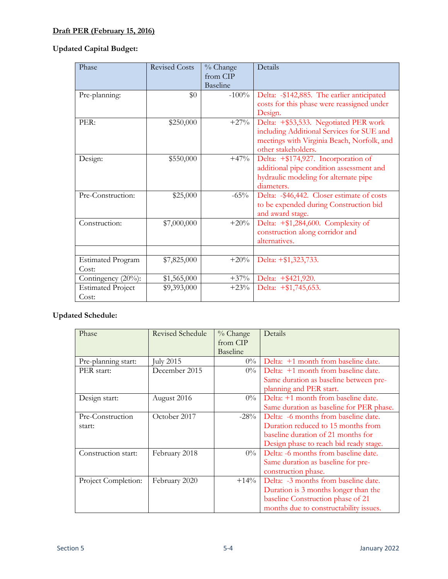## **Draft PER (February 15, 2016)**

### **Updated Capital Budget:**

| Phase                             | <b>Revised Costs</b> | % Change<br>from CIP<br>Baseline | Details                                                                                                                                                 |
|-----------------------------------|----------------------|----------------------------------|---------------------------------------------------------------------------------------------------------------------------------------------------------|
| Pre-planning:                     | \$0                  | $-100\%$                         | Delta: -\$142,885. The earlier anticipated<br>costs for this phase were reassigned under<br>Design.                                                     |
| PER:                              | \$250,000            | $+27%$                           | Delta: +\$53,533. Negotiated PER work<br>including Additional Services for SUE and<br>meetings with Virginia Beach, Norfolk, and<br>other stakeholders. |
| Design:                           | \$550,000            | $+47\%$                          | Delta: +\$174,927. Incorporation of<br>additional pipe condition assessment and<br>hydraulic modeling for alternate pipe<br>diameters.                  |
| Pre-Construction:                 | \$25,000             | $-65\%$                          | Delta: -\$46,442. Closer estimate of costs<br>to be expended during Construction bid<br>and award stage.                                                |
| Construction:                     | \$7,000,000          | $+20%$                           | Delta: $+\$ 1,284,600. Complexity of<br>construction along corridor and<br>alternatives.                                                                |
| <b>Estimated Program</b><br>Cost: | \$7,825,000          | $+20%$                           | Delta: +\$1,323,733.                                                                                                                                    |
| Contingency (20%):                | \$1,565,000          | $+37%$                           | Delta: +\$421,920.                                                                                                                                      |
| <b>Estimated Project</b><br>Cost: | \$9,393,000          | $+23%$                           | Delta: +\$1,745,653.                                                                                                                                    |

| Phase               | <b>Revised Schedule</b> | % Change<br>from CIP<br><b>Baseline</b> | Details                                  |
|---------------------|-------------------------|-----------------------------------------|------------------------------------------|
| Pre-planning start: | July 2015               | $0\%$                                   | Delta: +1 month from baseline date.      |
| PER start:          | December 2015           | $0\%$                                   | Delta: +1 month from baseline date.      |
|                     |                         |                                         | Same duration as baseline between pre-   |
|                     |                         |                                         | planning and PER start.                  |
| Design start:       | August 2016             | $0\%$                                   | Delta: +1 month from baseline date.      |
|                     |                         |                                         | Same duration as baseline for PER phase. |
| Pre-Construction    | October 2017            | $-28%$                                  | Delta: -6 months from baseline date.     |
| start:              |                         |                                         | Duration reduced to 15 months from       |
|                     |                         |                                         | baseline duration of 21 months for       |
|                     |                         |                                         | Design phase to reach bid ready stage.   |
| Construction start: | February 2018           | $0\%$                                   | Delta: -6 months from baseline date.     |
|                     |                         |                                         | Same duration as baseline for pre-       |
|                     |                         |                                         | construction phase.                      |
| Project Completion: | February 2020           | $+14\%$                                 | Delta: -3 months from baseline date.     |
|                     |                         |                                         | Duration is 3 months longer than the     |
|                     |                         |                                         | baseline Construction phase of 21        |
|                     |                         |                                         | months due to constructability issues.   |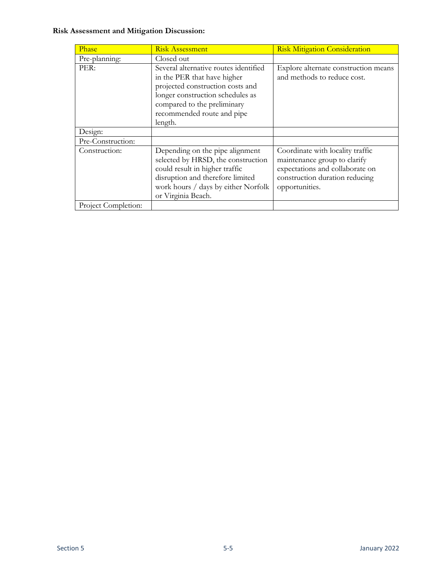| Phase               | <b>Risk Assessment</b>                                                                                                                                                                                               | <b>Risk Mitigation Consideration</b>                                                                                                                    |
|---------------------|----------------------------------------------------------------------------------------------------------------------------------------------------------------------------------------------------------------------|---------------------------------------------------------------------------------------------------------------------------------------------------------|
| Pre-planning:       | Closed out                                                                                                                                                                                                           |                                                                                                                                                         |
| PER:                | Several alternative routes identified<br>in the PER that have higher<br>projected construction costs and<br>longer construction schedules as<br>compared to the preliminary<br>recommended route and pipe<br>length. | Explore alternate construction means<br>and methods to reduce cost.                                                                                     |
| Design:             |                                                                                                                                                                                                                      |                                                                                                                                                         |
| Pre-Construction:   |                                                                                                                                                                                                                      |                                                                                                                                                         |
| Construction:       | Depending on the pipe alignment<br>selected by HRSD, the construction<br>could result in higher traffic<br>disruption and therefore limited<br>work hours / days by either Norfolk<br>or Virginia Beach.             | Coordinate with locality traffic<br>maintenance group to clarify<br>expectations and collaborate on<br>construction duration reducing<br>opportunities. |
| Project Completion: |                                                                                                                                                                                                                      |                                                                                                                                                         |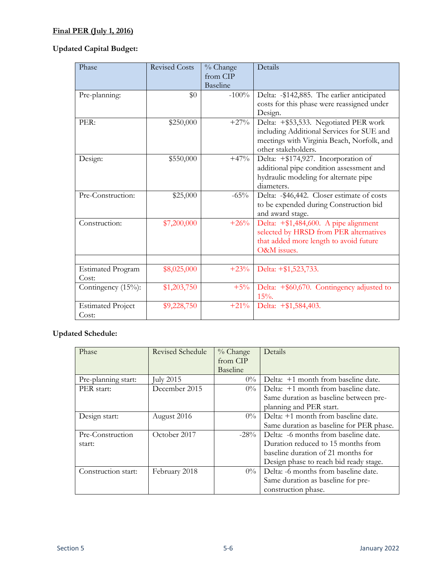### **Final PER (July 1, 2016)**

### **Updated Capital Budget:**

| Phase                             | <b>Revised Costs</b> | % Change<br>from CIP<br><b>Baseline</b> | Details                                                                                                                                                 |
|-----------------------------------|----------------------|-----------------------------------------|---------------------------------------------------------------------------------------------------------------------------------------------------------|
| Pre-planning:                     | \$0                  | $-100\%$                                | Delta: -\$142,885. The earlier anticipated<br>costs for this phase were reassigned under<br>Design.                                                     |
| PER:                              | \$250,000            | $+27%$                                  | Delta: +\$53,533. Negotiated PER work<br>including Additional Services for SUE and<br>meetings with Virginia Beach, Norfolk, and<br>other stakeholders. |
| Design:                           | \$550,000            | $+47%$                                  | Delta: +\$174,927. Incorporation of<br>additional pipe condition assessment and<br>hydraulic modeling for alternate pipe<br>diameters.                  |
| Pre-Construction:                 | \$25,000             | $-65\%$                                 | Delta: -\$46,442. Closer estimate of costs<br>to be expended during Construction bid<br>and award stage.                                                |
| Construction:                     | \$7,200,000          | $+26%$                                  | Delta: +\$1,484,600. A pipe alignment<br>selected by HRSD from PER alternatives<br>that added more length to avoid future<br>O&M issues.                |
| <b>Estimated Program</b><br>Cost: | \$8,025,000          | $+23%$                                  | Delta: +\$1,523,733.                                                                                                                                    |
| Contingency (15%):                | \$1,203,750          | $+5\%$                                  | Delta: $+$ \$60,670. Contingency adjusted to<br>$15%$ .                                                                                                 |
| <b>Estimated Project</b><br>Cost: | \$9,228,750          | $+21\%$                                 | Delta: +\$1,584,403.                                                                                                                                    |

| Phase               | <b>Revised Schedule</b> | $%$ Change      | Details                                  |
|---------------------|-------------------------|-----------------|------------------------------------------|
|                     |                         | from CIP        |                                          |
|                     |                         | <b>Baseline</b> |                                          |
| Pre-planning start: | July 2015               | $0\%$           | Delta: +1 month from baseline date.      |
| PER start:          | December 2015           | $0\%$           | Delta: +1 month from baseline date.      |
|                     |                         |                 | Same duration as baseline between pre-   |
|                     |                         |                 | planning and PER start.                  |
| Design start:       | August 2016             | $0\%$           | Delta: +1 month from baseline date.      |
|                     |                         |                 | Same duration as baseline for PER phase. |
| Pre-Construction    | October 2017            | $-28\%$         | Delta: -6 months from baseline date.     |
| start:              |                         |                 | Duration reduced to 15 months from       |
|                     |                         |                 | baseline duration of 21 months for       |
|                     |                         |                 | Design phase to reach bid ready stage.   |
| Construction start: | February 2018           | $0\%$           | Delta: -6 months from baseline date.     |
|                     |                         |                 | Same duration as baseline for pre-       |
|                     |                         |                 | construction phase.                      |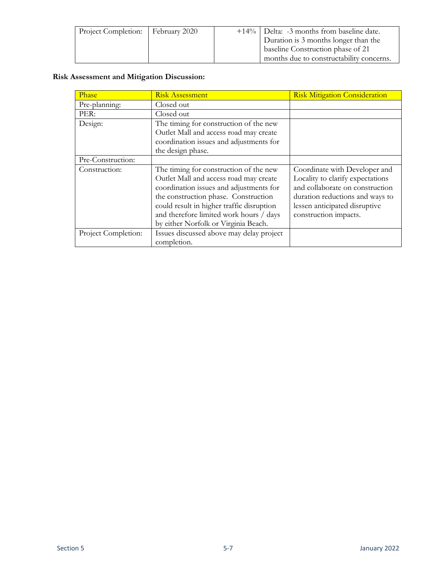| Project Completion:   February 2020 |  | $+14\%$ Delta: -3 months from baseline date. |
|-------------------------------------|--|----------------------------------------------|
|                                     |  | Duration is 3 months longer than the         |
|                                     |  | baseline Construction phase of 21            |
|                                     |  | months due to constructability concerns.     |

| Phase               | <b>Risk Assessment</b>                                                                                                                                                                                                                                                                              | <b>Risk Mitigation Consideration</b>                                                                                                                                                              |
|---------------------|-----------------------------------------------------------------------------------------------------------------------------------------------------------------------------------------------------------------------------------------------------------------------------------------------------|---------------------------------------------------------------------------------------------------------------------------------------------------------------------------------------------------|
| Pre-planning:       | Closed out                                                                                                                                                                                                                                                                                          |                                                                                                                                                                                                   |
| PER:                | Closed out                                                                                                                                                                                                                                                                                          |                                                                                                                                                                                                   |
| Design:             | The timing for construction of the new<br>Outlet Mall and access road may create<br>coordination issues and adjustments for                                                                                                                                                                         |                                                                                                                                                                                                   |
|                     | the design phase.                                                                                                                                                                                                                                                                                   |                                                                                                                                                                                                   |
| Pre-Construction:   |                                                                                                                                                                                                                                                                                                     |                                                                                                                                                                                                   |
| Construction:       | The timing for construction of the new<br>Outlet Mall and access road may create<br>coordination issues and adjustments for<br>the construction phase. Construction<br>could result in higher traffic disruption<br>and therefore limited work hours / days<br>by either Norfolk or Virginia Beach. | Coordinate with Developer and<br>Locality to clarify expectations<br>and collaborate on construction<br>duration reductions and ways to<br>lessen anticipated disruptive<br>construction impacts. |
| Project Completion: | Issues discussed above may delay project<br>completion.                                                                                                                                                                                                                                             |                                                                                                                                                                                                   |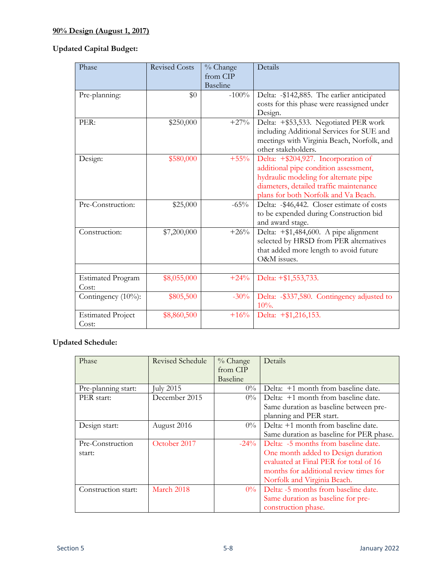## **90% Design (August 1, 2017)**

### **Updated Capital Budget:**

| Phase                             | <b>Revised Costs</b> | % Change<br>from CIP<br><b>Baseline</b> | Details                                                                                                                                                                                                  |
|-----------------------------------|----------------------|-----------------------------------------|----------------------------------------------------------------------------------------------------------------------------------------------------------------------------------------------------------|
| Pre-planning:                     | \$0                  | $-100\%$                                | Delta: -\$142,885. The earlier anticipated<br>costs for this phase were reassigned under<br>Design.                                                                                                      |
| PER:                              | \$250,000            | $+27%$                                  | Delta: +\$53,533. Negotiated PER work<br>including Additional Services for SUE and<br>meetings with Virginia Beach, Norfolk, and<br>other stakeholders.                                                  |
| Design:                           | \$580,000            | $+55%$                                  | Delta: +\$204,927. Incorporation of<br>additional pipe condition assessment,<br>hydraulic modeling for alternate pipe<br>diameters, detailed traffic maintenance<br>plans for both Norfolk and Va Beach. |
| Pre-Construction:                 | \$25,000             | $-65%$                                  | Delta: -\$46,442. Closer estimate of costs<br>to be expended during Construction bid<br>and award stage.                                                                                                 |
| Construction:                     | \$7,200,000          | $+26%$                                  | Delta: +\$1,484,600. A pipe alignment<br>selected by HRSD from PER alternatives<br>that added more length to avoid future<br>O&M issues.                                                                 |
| <b>Estimated Program</b><br>Cost: | \$8,055,000          | $+24%$                                  | Delta: +\$1,553,733.                                                                                                                                                                                     |
| Contingency $(10\%)$ :            | \$805,500            | $-30\%$                                 | Delta: - \$337,580. Contingency adjusted to<br>$10%$ .                                                                                                                                                   |
| <b>Estimated Project</b><br>Cost: | \$8,860,500          | $+16%$                                  | Delta: +\$1,216,153.                                                                                                                                                                                     |

| Phase               | <b>Revised Schedule</b> | $\%$ Change     | Details                                  |
|---------------------|-------------------------|-----------------|------------------------------------------|
|                     |                         | from CIP        |                                          |
|                     |                         | <b>Baseline</b> |                                          |
| Pre-planning start: | July 2015               | $0\%$           | Delta: +1 month from baseline date.      |
| PER start:          | December 2015           | $0\%$           | Delta: +1 month from baseline date.      |
|                     |                         |                 | Same duration as baseline between pre-   |
|                     |                         |                 | planning and PER start.                  |
| Design start:       | August 2016             | $0\%$           | Delta: +1 month from baseline date.      |
|                     |                         |                 | Same duration as baseline for PER phase. |
| Pre-Construction    | October 2017            | $-24\%$         | Delta: -5 months from baseline date.     |
| start:              |                         |                 | One month added to Design duration       |
|                     |                         |                 | evaluated at Final PER for total of 16   |
|                     |                         |                 | months for additional review times for   |
|                     |                         |                 | Norfolk and Virginia Beach.              |
| Construction start: | March 2018              | $0\%$           | Delta: -5 months from baseline date.     |
|                     |                         |                 | Same duration as baseline for pre-       |
|                     |                         |                 | construction phase.                      |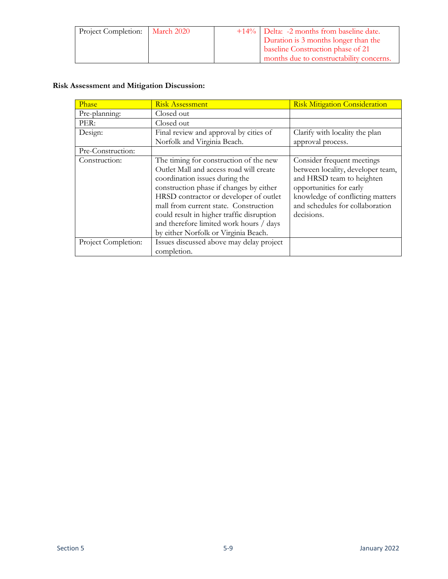| Project Completion:   March 2020 |  | +14%   Delta: -2 months from baseline date. |
|----------------------------------|--|---------------------------------------------|
|                                  |  | Duration is 3 months longer than the        |
|                                  |  | baseline Construction phase of 21           |
|                                  |  | months due to constructability concerns.    |

| Phase               | <b>Risk Assessment</b>                                                                                                                                                                                                                                                                                                                                                            | <b>Risk Mitigation Consideration</b>                                                                                                                                                                         |
|---------------------|-----------------------------------------------------------------------------------------------------------------------------------------------------------------------------------------------------------------------------------------------------------------------------------------------------------------------------------------------------------------------------------|--------------------------------------------------------------------------------------------------------------------------------------------------------------------------------------------------------------|
| Pre-planning:       | Closed out                                                                                                                                                                                                                                                                                                                                                                        |                                                                                                                                                                                                              |
| PER:                | Closed out                                                                                                                                                                                                                                                                                                                                                                        |                                                                                                                                                                                                              |
| Design:             | Final review and approval by cities of                                                                                                                                                                                                                                                                                                                                            | Clarify with locality the plan                                                                                                                                                                               |
|                     | Norfolk and Virginia Beach.                                                                                                                                                                                                                                                                                                                                                       | approval process.                                                                                                                                                                                            |
| Pre-Construction:   |                                                                                                                                                                                                                                                                                                                                                                                   |                                                                                                                                                                                                              |
| Construction:       | The timing for construction of the new<br>Outlet Mall and access road will create<br>coordination issues during the<br>construction phase if changes by either<br>HRSD contractor or developer of outlet<br>mall from current state. Construction<br>could result in higher traffic disruption<br>and therefore limited work hours / days<br>by either Norfolk or Virginia Beach. | Consider frequent meetings<br>between locality, developer team,<br>and HRSD team to heighten<br>opportunities for early<br>knowledge of conflicting matters<br>and schedules for collaboration<br>decisions. |
| Project Completion: | Issues discussed above may delay project<br>completion.                                                                                                                                                                                                                                                                                                                           |                                                                                                                                                                                                              |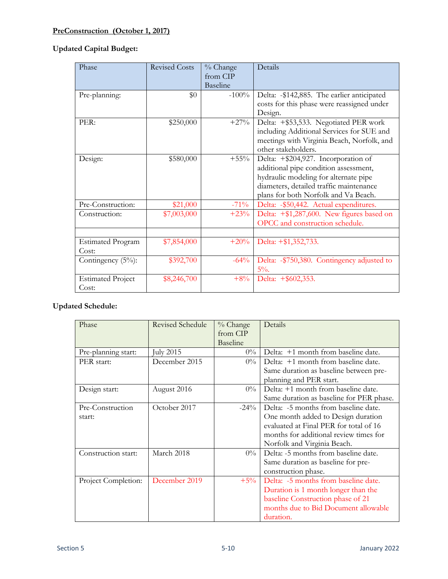## **PreConstruction (October 1, 2017)**

## **Updated Capital Budget:**

| Phase                             | <b>Revised Costs</b> | % Change<br>from CIP<br><b>Baseline</b> | Details                                                                                                                                                                                                  |
|-----------------------------------|----------------------|-----------------------------------------|----------------------------------------------------------------------------------------------------------------------------------------------------------------------------------------------------------|
| Pre-planning:                     | \$0                  | $-100\%$                                | Delta: -\$142,885. The earlier anticipated<br>costs for this phase were reassigned under<br>Design.                                                                                                      |
| PER:                              | \$250,000            | $+27%$                                  | Delta: +\$53,533. Negotiated PER work<br>including Additional Services for SUE and<br>meetings with Virginia Beach, Norfolk, and<br>other stakeholders.                                                  |
| Design:                           | \$580,000            | $+55\%$                                 | Delta: +\$204,927. Incorporation of<br>additional pipe condition assessment,<br>hydraulic modeling for alternate pipe<br>diameters, detailed traffic maintenance<br>plans for both Norfolk and Va Beach. |
| Pre-Construction:                 | \$21,000             | $-71\%$                                 | Delta: - \$50,442. Actual expenditures.                                                                                                                                                                  |
| Construction:                     | \$7,003,000          | $+23%$                                  | Delta: +\$1,287,600. New figures based on<br>OPCC and construction schedule.                                                                                                                             |
| <b>Estimated Program</b><br>Cost: | \$7,854,000          | $+20%$                                  | Delta: +\$1,352,733.                                                                                                                                                                                     |
| Contingency (5%):                 | \$392,700            | $-64%$                                  | Delta: - \$750,380. Contingency adjusted to<br>$5\%$ .                                                                                                                                                   |
| <b>Estimated Project</b><br>Cost: | \$8,246,700          | $+8%$                                   | Delta: +\$602,353.                                                                                                                                                                                       |

| Phase               | <b>Revised Schedule</b> | % Change        | Details                                  |
|---------------------|-------------------------|-----------------|------------------------------------------|
|                     |                         | from CIP        |                                          |
|                     |                         | <b>Baseline</b> |                                          |
| Pre-planning start: | July 2015               | $0\%$           | Delta: +1 month from baseline date.      |
| PER start:          | December 2015           | $0\%$           | Delta: +1 month from baseline date.      |
|                     |                         |                 | Same duration as baseline between pre-   |
|                     |                         |                 | planning and PER start.                  |
| Design start:       | August 2016             | $0\%$           | Delta: +1 month from baseline date.      |
|                     |                         |                 | Same duration as baseline for PER phase. |
| Pre-Construction    | October 2017            | $-24\%$         | Delta: -5 months from baseline date.     |
| start:              |                         |                 | One month added to Design duration       |
|                     |                         |                 | evaluated at Final PER for total of 16   |
|                     |                         |                 | months for additional review times for   |
|                     |                         |                 | Norfolk and Virginia Beach.              |
| Construction start: | March 2018              | $0\%$           | Delta: -5 months from baseline date.     |
|                     |                         |                 | Same duration as baseline for pre-       |
|                     |                         |                 | construction phase.                      |
| Project Completion: | December 2019           | $+5%$           | Delta: -5 months from baseline date.     |
|                     |                         |                 | Duration is 1 month longer than the      |
|                     |                         |                 | baseline Construction phase of 21        |
|                     |                         |                 | months due to Bid Document allowable     |
|                     |                         |                 | duration.                                |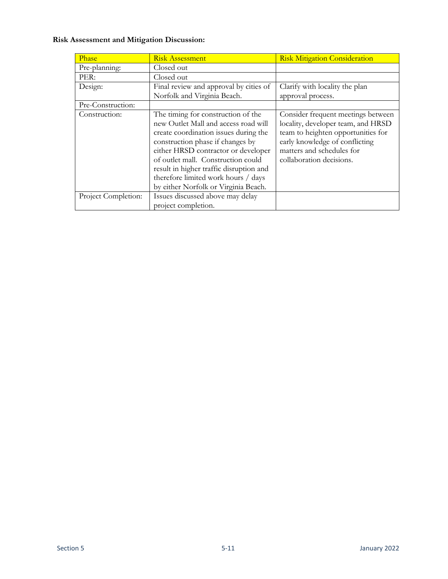| Phase               | <b>Risk Assessment</b>                                                                                                                                                                                                                                                                                                                                         | <b>Risk Mitigation Consideration</b>                                                                                                                                                                      |
|---------------------|----------------------------------------------------------------------------------------------------------------------------------------------------------------------------------------------------------------------------------------------------------------------------------------------------------------------------------------------------------------|-----------------------------------------------------------------------------------------------------------------------------------------------------------------------------------------------------------|
| Pre-planning:       | Closed out                                                                                                                                                                                                                                                                                                                                                     |                                                                                                                                                                                                           |
| PER:                | Closed out                                                                                                                                                                                                                                                                                                                                                     |                                                                                                                                                                                                           |
| Design:             | Final review and approval by cities of                                                                                                                                                                                                                                                                                                                         | Clarify with locality the plan                                                                                                                                                                            |
|                     | Norfolk and Virginia Beach.                                                                                                                                                                                                                                                                                                                                    | approval process.                                                                                                                                                                                         |
| Pre-Construction:   |                                                                                                                                                                                                                                                                                                                                                                |                                                                                                                                                                                                           |
| Construction:       | The timing for construction of the<br>new Outlet Mall and access road will<br>create coordination issues during the<br>construction phase if changes by<br>either HRSD contractor or developer<br>of outlet mall. Construction could<br>result in higher traffic disruption and<br>therefore limited work hours / days<br>by either Norfolk or Virginia Beach. | Consider frequent meetings between<br>locality, developer team, and HRSD<br>team to heighten opportunities for<br>early knowledge of conflicting<br>matters and schedules for<br>collaboration decisions. |
| Project Completion: | Issues discussed above may delay<br>project completion.                                                                                                                                                                                                                                                                                                        |                                                                                                                                                                                                           |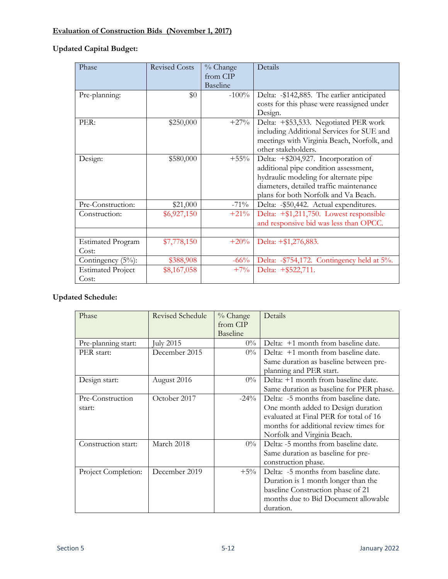## **Evaluation of Construction Bids (November 1, 2017)**

### **Updated Capital Budget:**

| Phase                    | <b>Revised Costs</b> | % Change | Details                                    |
|--------------------------|----------------------|----------|--------------------------------------------|
|                          |                      | from CIP |                                            |
|                          |                      | Baseline |                                            |
| Pre-planning:            | \$0                  | $-100\%$ | Delta: -\$142,885. The earlier anticipated |
|                          |                      |          | costs for this phase were reassigned under |
|                          |                      |          | Design.                                    |
| PER:                     | \$250,000            | $+27%$   | Delta: +\$53,533. Negotiated PER work      |
|                          |                      |          | including Additional Services for SUE and  |
|                          |                      |          | meetings with Virginia Beach, Norfolk, and |
|                          |                      |          | other stakeholders.                        |
| Design:                  | \$580,000            | $+55\%$  | Delta: +\$204,927. Incorporation of        |
|                          |                      |          | additional pipe condition assessment,      |
|                          |                      |          | hydraulic modeling for alternate pipe      |
|                          |                      |          | diameters, detailed traffic maintenance    |
|                          |                      |          | plans for both Norfolk and Va Beach.       |
| Pre-Construction:        | \$21,000             | $-71\%$  | Delta: - \$50,442. Actual expenditures.    |
| Construction:            | \$6,927,150          | $+21%$   | Delta: +\$1,211,750. Lowest responsible    |
|                          |                      |          | and responsive bid was less than OPCC.     |
|                          |                      |          |                                            |
| <b>Estimated Program</b> | \$7,778,150          | $+20%$   | Delta: +\$1,276,883.                       |
| Cost:                    |                      |          |                                            |
| Contingency $(5\%)$ :    | \$388,908            | $-66\%$  | Delta: -\$754,172. Contingency held at 5%. |
| <b>Estimated Project</b> | \$8,167,058          | $+7%$    | Delta: +\$522,711.                         |
| Cost:                    |                      |          |                                            |

| Phase               | <b>Revised Schedule</b> | % Change        | Details                                  |
|---------------------|-------------------------|-----------------|------------------------------------------|
|                     |                         | from CIP        |                                          |
|                     |                         | <b>Baseline</b> |                                          |
| Pre-planning start: | uly 2015                | $0\%$           | Delta: +1 month from baseline date.      |
| PER start:          | December 2015           | $0\%$           | Delta: +1 month from baseline date.      |
|                     |                         |                 | Same duration as baseline between pre-   |
|                     |                         |                 | planning and PER start.                  |
| Design start:       | August 2016             | $0\%$           | Delta: +1 month from baseline date.      |
|                     |                         |                 | Same duration as baseline for PER phase. |
| Pre-Construction    | October 2017            | $-24\%$         | Delta: -5 months from baseline date.     |
| start:              |                         |                 | One month added to Design duration       |
|                     |                         |                 | evaluated at Final PER for total of 16   |
|                     |                         |                 | months for additional review times for   |
|                     |                         |                 | Norfolk and Virginia Beach.              |
| Construction start: | March 2018              | $0\%$           | Delta: -5 months from baseline date.     |
|                     |                         |                 | Same duration as baseline for pre-       |
|                     |                         |                 | construction phase.                      |
| Project Completion: | December 2019           | $+5\%$          | Delta: -5 months from baseline date.     |
|                     |                         |                 | Duration is 1 month longer than the      |
|                     |                         |                 | baseline Construction phase of 21        |
|                     |                         |                 | months due to Bid Document allowable     |
|                     |                         |                 | duration.                                |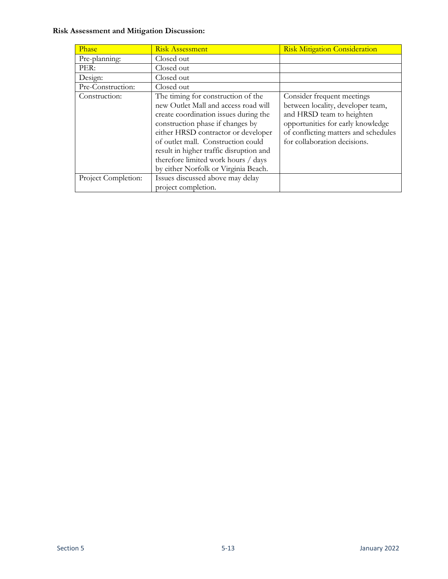| Phase               | <b>Risk Assessment</b>                                                                                                                                                                                                                                                                                                                                         | <b>Risk Mitigation Consideration</b>                                                                                                                                                                      |
|---------------------|----------------------------------------------------------------------------------------------------------------------------------------------------------------------------------------------------------------------------------------------------------------------------------------------------------------------------------------------------------------|-----------------------------------------------------------------------------------------------------------------------------------------------------------------------------------------------------------|
| Pre-planning:       | Closed out                                                                                                                                                                                                                                                                                                                                                     |                                                                                                                                                                                                           |
| PER:                | Closed out                                                                                                                                                                                                                                                                                                                                                     |                                                                                                                                                                                                           |
| Design:             | Closed out                                                                                                                                                                                                                                                                                                                                                     |                                                                                                                                                                                                           |
| Pre-Construction:   | Closed out                                                                                                                                                                                                                                                                                                                                                     |                                                                                                                                                                                                           |
| Construction:       | The timing for construction of the<br>new Outlet Mall and access road will<br>create coordination issues during the<br>construction phase if changes by<br>either HRSD contractor or developer<br>of outlet mall. Construction could<br>result in higher traffic disruption and<br>therefore limited work hours / days<br>by either Norfolk or Virginia Beach. | Consider frequent meetings<br>between locality, developer team,<br>and HRSD team to heighten<br>opportunities for early knowledge<br>of conflicting matters and schedules<br>for collaboration decisions. |
| Project Completion: | Issues discussed above may delay<br>project completion.                                                                                                                                                                                                                                                                                                        |                                                                                                                                                                                                           |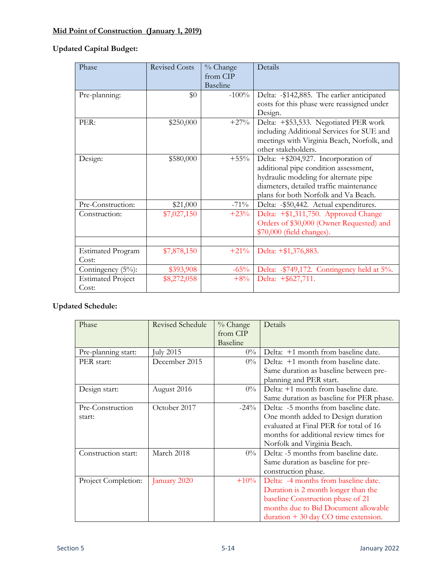# **Mid Point of Construction (January 1, 2019)**

## **Updated Capital Budget:**

| Phase                             | <b>Revised Costs</b> | % Change<br>from CIP<br><b>Baseline</b> | Details                                                                                                                                                                                                  |
|-----------------------------------|----------------------|-----------------------------------------|----------------------------------------------------------------------------------------------------------------------------------------------------------------------------------------------------------|
| Pre-planning:                     | \$0                  | $-100%$                                 | Delta: -\$142,885. The earlier anticipated<br>costs for this phase were reassigned under<br>Design.                                                                                                      |
| PER:                              | \$250,000            | $+27%$                                  | Delta: +\$53,533. Negotiated PER work<br>including Additional Services for SUE and<br>meetings with Virginia Beach, Norfolk, and<br>other stakeholders.                                                  |
| Design:                           | \$580,000            | $+55\%$                                 | Delta: +\$204,927. Incorporation of<br>additional pipe condition assessment,<br>hydraulic modeling for alternate pipe<br>diameters, detailed traffic maintenance<br>plans for both Norfolk and Va Beach. |
| Pre-Construction:                 | \$21,000             | $-71\%$                                 | Delta: - \$50,442. Actual expenditures.                                                                                                                                                                  |
| Construction:                     | \$7,027,150          | $+23%$                                  | Delta: +\$1,311,750. Approved Change<br>Orders of \$30,000 (Owner Requested) and<br>\$70,000 (field changes).                                                                                            |
|                                   |                      |                                         |                                                                                                                                                                                                          |
| <b>Estimated Program</b><br>Cost: | \$7,878,150          | $+21\%$                                 | Delta: +\$1,376,883.                                                                                                                                                                                     |
| Contingency $(5\%)$ :             | \$393,908            | $-65%$                                  | Delta: - \$749,172. Contingency held at 5%.                                                                                                                                                              |
| <b>Estimated Project</b><br>Cost: | \$8,272,058          | $+8%$                                   | Delta: +\$627,711.                                                                                                                                                                                       |

| Phase               | <b>Revised Schedule</b> | $%$ Change | Details                                         |
|---------------------|-------------------------|------------|-------------------------------------------------|
|                     |                         | from CIP   |                                                 |
|                     |                         | Baseline   |                                                 |
| Pre-planning start: | July 2015               | $0\%$      | Delta: +1 month from baseline date.             |
| PER start:          | December 2015           | $0\%$      | Delta: +1 month from baseline date.             |
|                     |                         |            | Same duration as baseline between pre-          |
|                     |                         |            | planning and PER start.                         |
| Design start:       | August 2016             | $0\%$      | Delta: +1 month from baseline date.             |
|                     |                         |            | Same duration as baseline for PER phase.        |
| Pre-Construction    | October 2017            | $-24\%$    | Delta: -5 months from baseline date.            |
| start:              |                         |            | One month added to Design duration              |
|                     |                         |            | evaluated at Final PER for total of 16          |
|                     |                         |            | months for additional review times for          |
|                     |                         |            | Norfolk and Virginia Beach.                     |
| Construction start: | March 2018              | $0\%$      | Delta: -5 months from baseline date.            |
|                     |                         |            | Same duration as baseline for pre-              |
|                     |                         |            | construction phase.                             |
| Project Completion: | January 2020            | $+10%$     | Delta: -4 months from baseline date.            |
|                     |                         |            | Duration is 2 month longer than the             |
|                     |                         |            | baseline Construction phase of 21               |
|                     |                         |            | months due to Bid Document allowable            |
|                     |                         |            | $duration + 30 \text{ day } CO$ time extension. |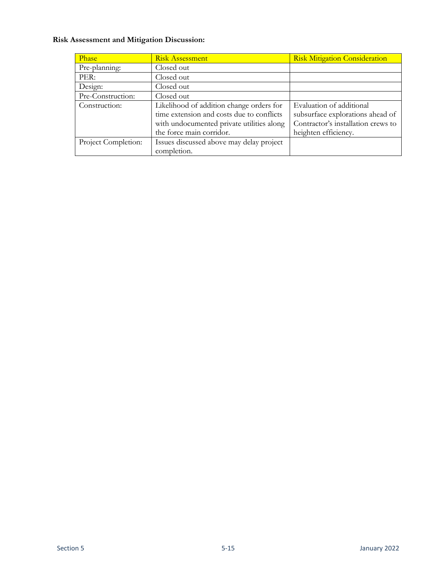| Phase               | <b>Risk Assessment</b>                    | <b>Risk Mitigation Consideration</b> |
|---------------------|-------------------------------------------|--------------------------------------|
| Pre-planning:       | Closed out                                |                                      |
| PER:                | Closed out                                |                                      |
| Design:             | Closed out                                |                                      |
| Pre-Construction:   | Closed out                                |                                      |
| Construction:       | Likelihood of addition change orders for  | Evaluation of additional             |
|                     | time extension and costs due to conflicts | subsurface explorations ahead of     |
|                     | with undocumented private utilities along | Contractor's installation crews to   |
|                     | the force main corridor.                  | heighten efficiency.                 |
| Project Completion: | Issues discussed above may delay project  |                                      |
|                     | completion.                               |                                      |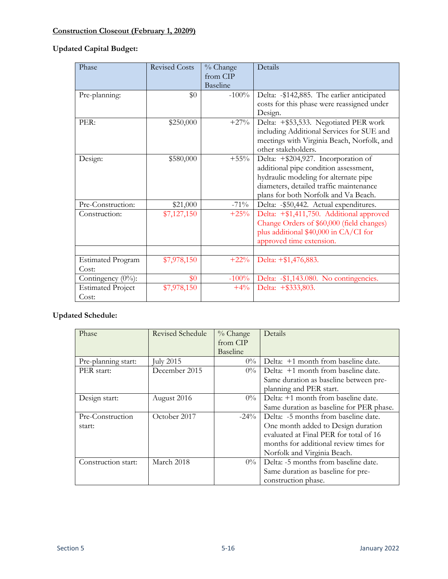# **Construction Closeout (February 1, 20209)**

## **Updated Capital Budget:**

| Phase                             | <b>Revised Costs</b> | % Change<br>from CIP<br><b>Baseline</b> | Details                                                                                                                                                                                                  |
|-----------------------------------|----------------------|-----------------------------------------|----------------------------------------------------------------------------------------------------------------------------------------------------------------------------------------------------------|
| Pre-planning:                     | \$0                  | $-100\%$                                | Delta: -\$142,885. The earlier anticipated<br>costs for this phase were reassigned under<br>Design.                                                                                                      |
| PER:                              | \$250,000            | $+27\%$                                 | Delta: +\$53,533. Negotiated PER work<br>including Additional Services for SUE and<br>meetings with Virginia Beach, Norfolk, and<br>other stakeholders.                                                  |
| Design:                           | \$580,000            | $+55%$                                  | Delta: +\$204,927. Incorporation of<br>additional pipe condition assessment,<br>hydraulic modeling for alternate pipe<br>diameters, detailed traffic maintenance<br>plans for both Norfolk and Va Beach. |
| Pre-Construction:                 | \$21,000             | $-71\%$                                 | Delta: - \$50,442. Actual expenditures.                                                                                                                                                                  |
| Construction:                     | \$7,127,150          | $+25%$                                  | Delta: +\$1,411,750. Additional approved<br>Change Orders of \$60,000 (field changes)<br>plus additional \$40,000 in CA/CI for<br>approved time extension.                                               |
|                                   |                      |                                         |                                                                                                                                                                                                          |
| <b>Estimated Program</b><br>Cost: | \$7,978,150          | $+22\%$                                 | Delta: +\$1,476,883.                                                                                                                                                                                     |
| Contingency (0%):                 | \$0                  | $-100%$                                 | Delta: - \$1,143.080. No contingencies.                                                                                                                                                                  |
| <b>Estimated Project</b><br>Cost: | \$7,978,150          | $+4\%$                                  | Delta: +\$333,803.                                                                                                                                                                                       |

| Phase               | <b>Revised Schedule</b> | % Change        | Details                                  |
|---------------------|-------------------------|-----------------|------------------------------------------|
|                     |                         | from CIP        |                                          |
|                     |                         | <b>Baseline</b> |                                          |
| Pre-planning start: | July 2015               | $0\%$           | Delta: +1 month from baseline date.      |
| PER start:          | December 2015           | $0\%$           | Delta: +1 month from baseline date.      |
|                     |                         |                 | Same duration as baseline between pre-   |
|                     |                         |                 | planning and PER start.                  |
| Design start:       | August 2016             | $0\%$           | Delta: +1 month from baseline date.      |
|                     |                         |                 | Same duration as baseline for PER phase. |
| Pre-Construction    | October 2017            | $-24\%$         | Delta: -5 months from baseline date.     |
| start:              |                         |                 | One month added to Design duration       |
|                     |                         |                 | evaluated at Final PER for total of 16   |
|                     |                         |                 | months for additional review times for   |
|                     |                         |                 | Norfolk and Virginia Beach.              |
| Construction start: | March 2018              | $0\%$           | Delta: -5 months from baseline date.     |
|                     |                         |                 | Same duration as baseline for pre-       |
|                     |                         |                 | construction phase.                      |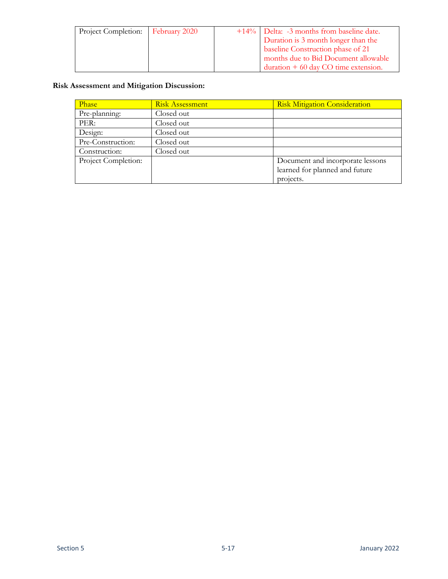| Project Completion:   February 2020 |  | +14%   Delta: -3 months from baseline date. |  |
|-------------------------------------|--|---------------------------------------------|--|
|                                     |  | Duration is 3 month longer than the         |  |
|                                     |  | baseline Construction phase of 21           |  |
|                                     |  | months due to Bid Document allowable        |  |
|                                     |  | duration $+60$ day CO time extension.       |  |

| Phase               | <b>Risk Mitigation Consideration</b><br><b>Risk Assessment</b> |                                  |  |  |
|---------------------|----------------------------------------------------------------|----------------------------------|--|--|
| Pre-planning:       | Closed out                                                     |                                  |  |  |
| PER:                | Closed out                                                     |                                  |  |  |
| Design:             | Closed out                                                     |                                  |  |  |
| Pre-Construction:   | Closed out                                                     |                                  |  |  |
| Construction:       | Closed out                                                     |                                  |  |  |
| Project Completion: |                                                                | Document and incorporate lessons |  |  |
|                     |                                                                | learned for planned and future   |  |  |
|                     |                                                                | projects.                        |  |  |